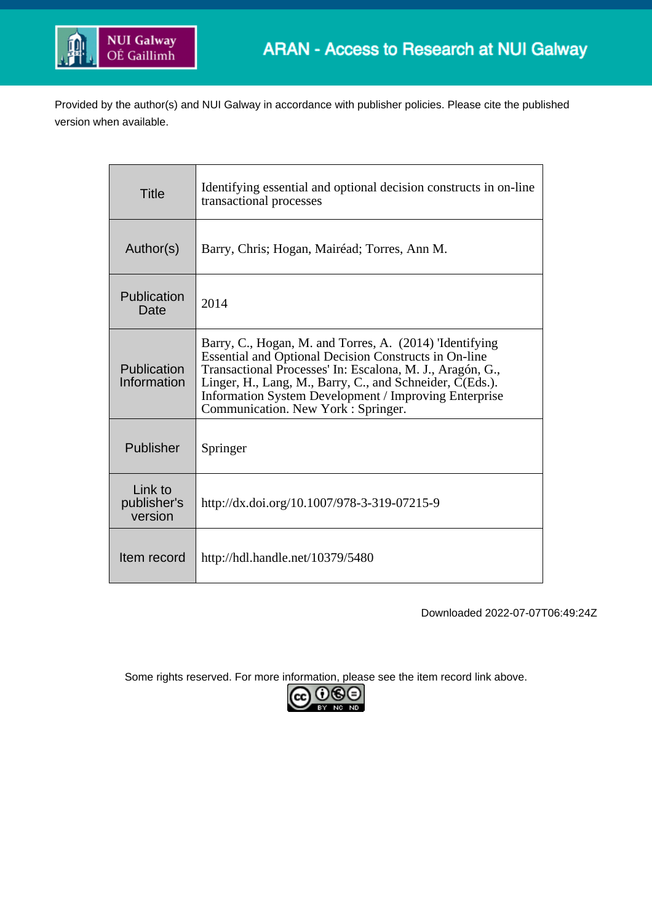

Provided by the author(s) and NUI Galway in accordance with publisher policies. Please cite the published version when available.

| Title                             | Identifying essential and optional decision constructs in on-line<br>transactional processes                                                                                                                                                                                                                                              |
|-----------------------------------|-------------------------------------------------------------------------------------------------------------------------------------------------------------------------------------------------------------------------------------------------------------------------------------------------------------------------------------------|
| Author(s)                         | Barry, Chris; Hogan, Mairéad; Torres, Ann M.                                                                                                                                                                                                                                                                                              |
| Publication<br>Date               | 2014                                                                                                                                                                                                                                                                                                                                      |
| Publication<br>Information        | Barry, C., Hogan, M. and Torres, A. (2014) 'Identifying<br>Essential and Optional Decision Constructs in On-line<br>Transactional Processes' In: Escalona, M. J., Aragón, G.,<br>Linger, H., Lang, M., Barry, C., and Schneider, C(Eds.).<br>Information System Development / Improving Enterprise<br>Communication. New York : Springer. |
| Publisher                         | Springer                                                                                                                                                                                                                                                                                                                                  |
| Link to<br>publisher's<br>version | http://dx.doi.org/10.1007/978-3-319-07215-9                                                                                                                                                                                                                                                                                               |
| Item record                       | http://hdl.handle.net/10379/5480                                                                                                                                                                                                                                                                                                          |

Downloaded 2022-07-07T06:49:24Z

Some rights reserved. For more information, please see the item record link above.

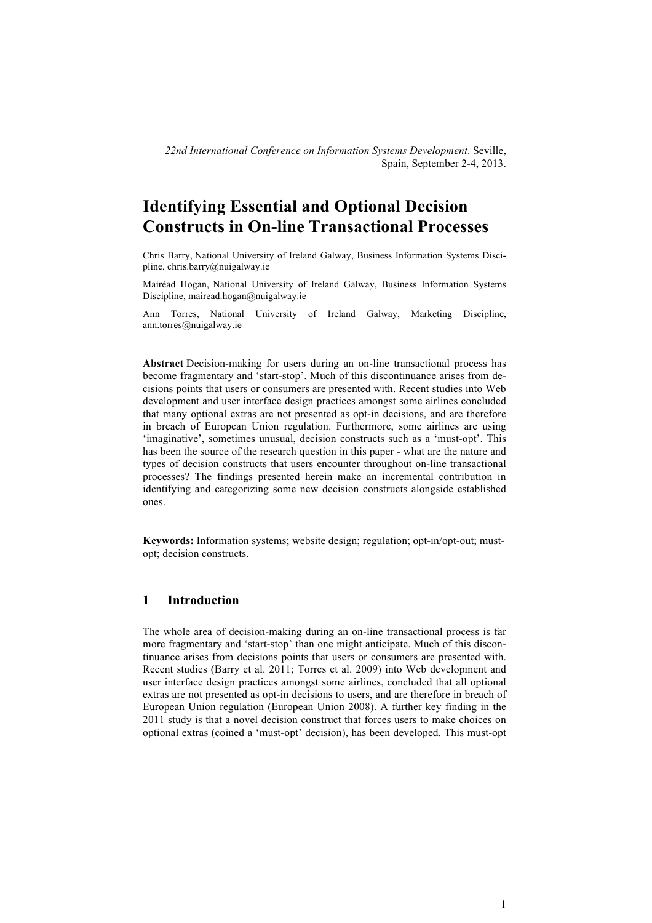# **Identifying Essential and Optional Decision Constructs in On-line Transactional Processes**

Chris Barry, National University of Ireland Galway, Business Information Systems Discipline, chris.barry@nuigalway.ie

Mairéad Hogan, National University of Ireland Galway, Business Information Systems Discipline, mairead.hogan@nuigalway.ie

Ann Torres, National University of Ireland Galway, Marketing Discipline, ann.torres@nuigalway.ie

**Abstract** Decision-making for users during an on-line transactional process has become fragmentary and 'start-stop'. Much of this discontinuance arises from decisions points that users or consumers are presented with. Recent studies into Web development and user interface design practices amongst some airlines concluded that many optional extras are not presented as opt-in decisions, and are therefore in breach of European Union regulation. Furthermore, some airlines are using 'imaginative', sometimes unusual, decision constructs such as a 'must-opt'. This has been the source of the research question in this paper - what are the nature and types of decision constructs that users encounter throughout on-line transactional processes? The findings presented herein make an incremental contribution in identifying and categorizing some new decision constructs alongside established ones.

**Keywords:** Information systems; website design; regulation; opt-in/opt-out; mustopt; decision constructs.

#### **1 Introduction**

The whole area of decision-making during an on-line transactional process is far more fragmentary and 'start-stop' than one might anticipate. Much of this discontinuance arises from decisions points that users or consumers are presented with. Recent studies (Barry et al. 2011; Torres et al. 2009) into Web development and user interface design practices amongst some airlines, concluded that all optional extras are not presented as opt-in decisions to users, and are therefore in breach of European Union regulation (European Union 2008). A further key finding in the 2011 study is that a novel decision construct that forces users to make choices on optional extras (coined a 'must-opt' decision), has been developed. This must-opt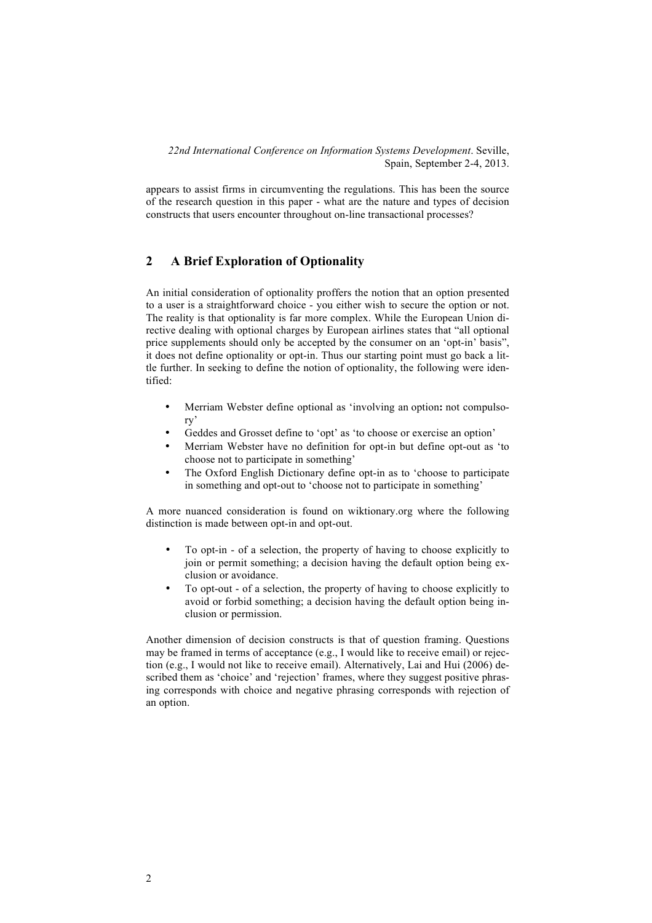appears to assist firms in circumventing the regulations. This has been the source of the research question in this paper - what are the nature and types of decision constructs that users encounter throughout on-line transactional processes?

# **2 A Brief Exploration of Optionality**

An initial consideration of optionality proffers the notion that an option presented to a user is a straightforward choice - you either wish to secure the option or not. The reality is that optionality is far more complex. While the European Union directive dealing with optional charges by European airlines states that "all optional price supplements should only be accepted by the consumer on an 'opt-in' basis", it does not define optionality or opt-in. Thus our starting point must go back a little further. In seeking to define the notion of optionality, the following were identified:

- Merriam Webster define optional as 'involving an option**:** not compulsory'
- Geddes and Grosset define to 'opt' as 'to choose or exercise an option'
- Merriam Webster have no definition for opt-in but define opt-out as 'to choose not to participate in something'
- The Oxford English Dictionary define opt-in as to 'choose to participate in something and opt-out to 'choose not to participate in something'

A more nuanced consideration is found on wiktionary.org where the following distinction is made between opt-in and opt-out.

- To opt-in of a selection, the property of having to choose explicitly to join or permit something; a decision having the default option being exclusion or avoidance.
- To opt-out of a selection, the property of having to choose explicitly to avoid or forbid something; a decision having the default option being inclusion or permission.

Another dimension of decision constructs is that of question framing. Questions may be framed in terms of acceptance (e.g., I would like to receive email) or rejection (e.g., I would not like to receive email). Alternatively, Lai and Hui (2006) described them as 'choice' and 'rejection' frames, where they suggest positive phrasing corresponds with choice and negative phrasing corresponds with rejection of an option.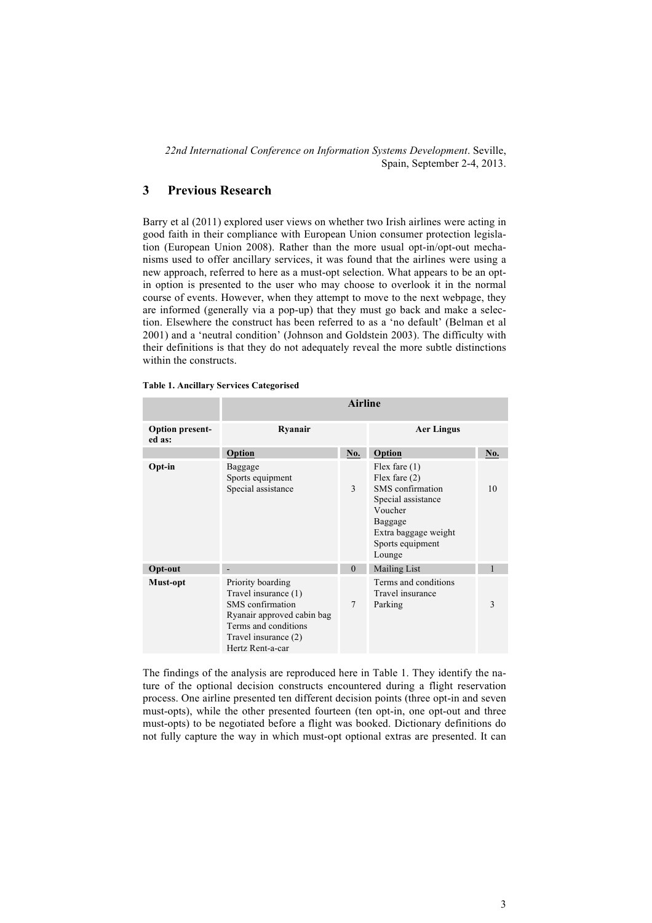# **3 Previous Research**

Barry et al (2011) explored user views on whether two Irish airlines were acting in good faith in their compliance with European Union consumer protection legislation (European Union 2008). Rather than the more usual opt-in/opt-out mechanisms used to offer ancillary services, it was found that the airlines were using a new approach, referred to here as a must-opt selection. What appears to be an optin option is presented to the user who may choose to overlook it in the normal course of events. However, when they attempt to move to the next webpage, they are informed (generally via a pop-up) that they must go back and make a selection. Elsewhere the construct has been referred to as a 'no default' (Belman et al 2001) and a 'neutral condition' (Johnson and Goldstein 2003). The difficulty with their definitions is that they do not adequately reveal the more subtle distinctions within the constructs.

|                                  | <b>Airline</b>                                                                                                                                                  |              |                                                                                                                                                          |     |
|----------------------------------|-----------------------------------------------------------------------------------------------------------------------------------------------------------------|--------------|----------------------------------------------------------------------------------------------------------------------------------------------------------|-----|
| <b>Option present-</b><br>ed as: | Ryanair                                                                                                                                                         |              | <b>Aer Lingus</b>                                                                                                                                        |     |
|                                  | Option                                                                                                                                                          | No.          | Option                                                                                                                                                   | No. |
| Opt-in                           | Baggage<br>Sports equipment<br>Special assistance                                                                                                               | 3            | Flex fare $(1)$<br>Flex fare $(2)$<br>SMS confirmation<br>Special assistance<br>Voucher<br>Baggage<br>Extra baggage weight<br>Sports equipment<br>Lounge | 10  |
| Opt-out                          |                                                                                                                                                                 | $\mathbf{0}$ | Mailing List                                                                                                                                             | 1   |
| Must-opt                         | Priority boarding<br>Travel insurance (1)<br>SMS confirmation<br>Ryanair approved cabin bag<br>Terms and conditions<br>Travel insurance (2)<br>Hertz Rent-a-car | 7            | Terms and conditions<br>Travel insurance<br>Parking                                                                                                      | 3   |

**Table 1. Ancillary Services Categorised** 

The findings of the analysis are reproduced here in Table 1. They identify the nature of the optional decision constructs encountered during a flight reservation process. One airline presented ten different decision points (three opt-in and seven must-opts), while the other presented fourteen (ten opt-in, one opt-out and three must-opts) to be negotiated before a flight was booked. Dictionary definitions do not fully capture the way in which must-opt optional extras are presented. It can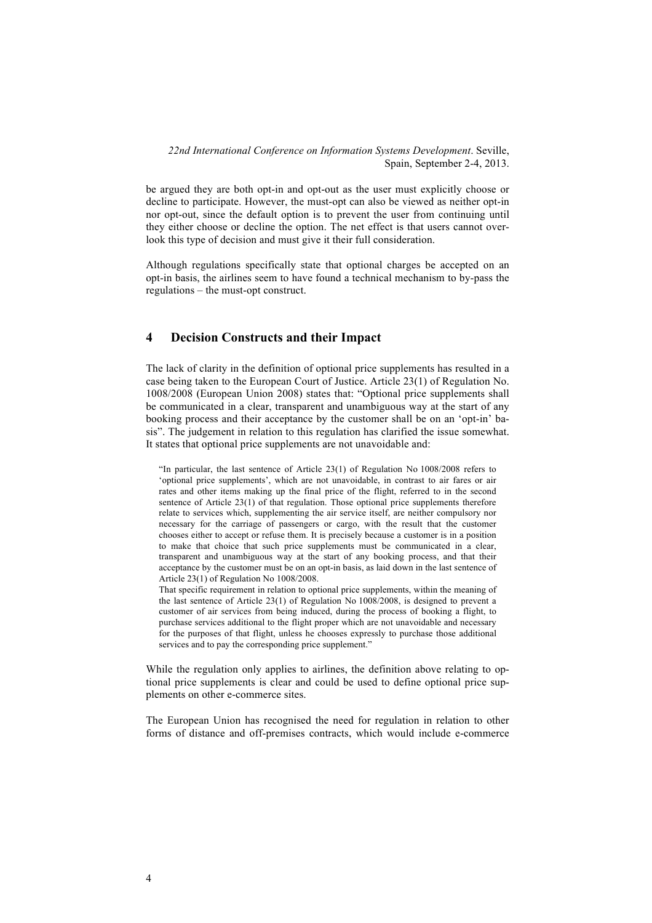be argued they are both opt-in and opt-out as the user must explicitly choose or decline to participate. However, the must-opt can also be viewed as neither opt-in nor opt-out, since the default option is to prevent the user from continuing until they either choose or decline the option. The net effect is that users cannot overlook this type of decision and must give it their full consideration.

Although regulations specifically state that optional charges be accepted on an opt-in basis, the airlines seem to have found a technical mechanism to by-pass the regulations – the must-opt construct.

#### **4 Decision Constructs and their Impact**

The lack of clarity in the definition of optional price supplements has resulted in a case being taken to the European Court of Justice. Article 23(1) of Regulation No. 1008/2008 (European Union 2008) states that: "Optional price supplements shall be communicated in a clear, transparent and unambiguous way at the start of any booking process and their acceptance by the customer shall be on an 'opt-in' basis". The judgement in relation to this regulation has clarified the issue somewhat. It states that optional price supplements are not unavoidable and:

"In particular, the last sentence of Article 23(1) of Regulation No 1008/2008 refers to 'optional price supplements', which are not unavoidable, in contrast to air fares or air rates and other items making up the final price of the flight, referred to in the second sentence of Article 23(1) of that regulation. Those optional price supplements therefore relate to services which, supplementing the air service itself, are neither compulsory nor necessary for the carriage of passengers or cargo, with the result that the customer chooses either to accept or refuse them. It is precisely because a customer is in a position to make that choice that such price supplements must be communicated in a clear, transparent and unambiguous way at the start of any booking process, and that their acceptance by the customer must be on an opt-in basis, as laid down in the last sentence of Article 23(1) of Regulation No 1008/2008.

That specific requirement in relation to optional price supplements, within the meaning of the last sentence of Article 23(1) of Regulation No 1008/2008, is designed to prevent a customer of air services from being induced, during the process of booking a flight, to purchase services additional to the flight proper which are not unavoidable and necessary for the purposes of that flight, unless he chooses expressly to purchase those additional services and to pay the corresponding price supplement."

While the regulation only applies to airlines, the definition above relating to optional price supplements is clear and could be used to define optional price supplements on other e-commerce sites.

The European Union has recognised the need for regulation in relation to other forms of distance and off-premises contracts, which would include e-commerce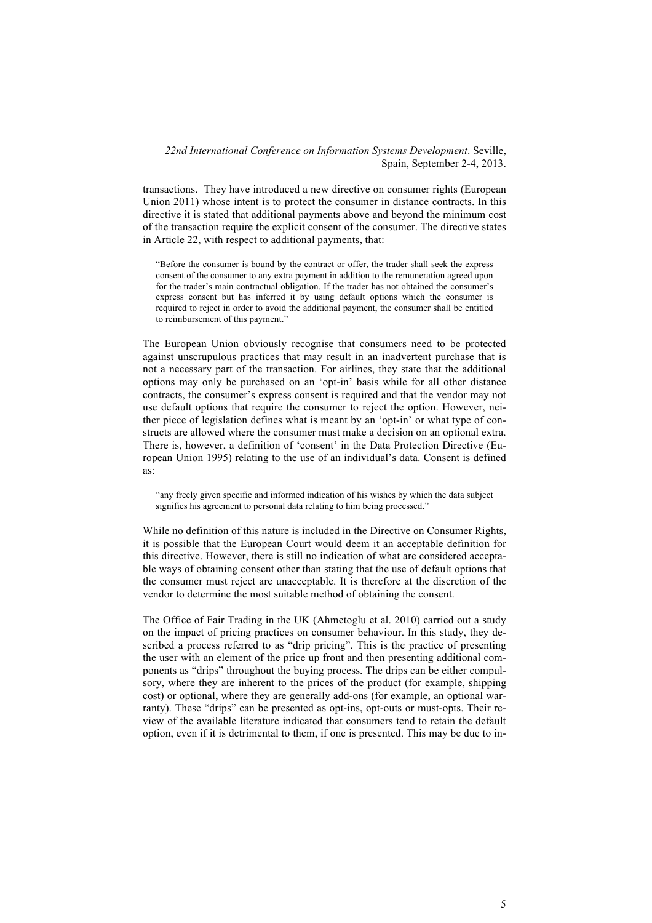transactions. They have introduced a new directive on consumer rights (European Union 2011) whose intent is to protect the consumer in distance contracts. In this directive it is stated that additional payments above and beyond the minimum cost of the transaction require the explicit consent of the consumer. The directive states in Article 22, with respect to additional payments, that:

"Before the consumer is bound by the contract or offer, the trader shall seek the express consent of the consumer to any extra payment in addition to the remuneration agreed upon for the trader's main contractual obligation. If the trader has not obtained the consumer's express consent but has inferred it by using default options which the consumer is required to reject in order to avoid the additional payment, the consumer shall be entitled to reimbursement of this payment."

The European Union obviously recognise that consumers need to be protected against unscrupulous practices that may result in an inadvertent purchase that is not a necessary part of the transaction. For airlines, they state that the additional options may only be purchased on an 'opt-in' basis while for all other distance contracts, the consumer's express consent is required and that the vendor may not use default options that require the consumer to reject the option. However, neither piece of legislation defines what is meant by an 'opt-in' or what type of constructs are allowed where the consumer must make a decision on an optional extra. There is, however, a definition of 'consent' in the Data Protection Directive (European Union 1995) relating to the use of an individual's data. Consent is defined as:

"any freely given specific and informed indication of his wishes by which the data subject signifies his agreement to personal data relating to him being processed."

While no definition of this nature is included in the Directive on Consumer Rights, it is possible that the European Court would deem it an acceptable definition for this directive. However, there is still no indication of what are considered acceptable ways of obtaining consent other than stating that the use of default options that the consumer must reject are unacceptable. It is therefore at the discretion of the vendor to determine the most suitable method of obtaining the consent.

The Office of Fair Trading in the UK (Ahmetoglu et al. 2010) carried out a study on the impact of pricing practices on consumer behaviour. In this study, they described a process referred to as "drip pricing". This is the practice of presenting the user with an element of the price up front and then presenting additional components as "drips" throughout the buying process. The drips can be either compulsory, where they are inherent to the prices of the product (for example, shipping cost) or optional, where they are generally add-ons (for example, an optional warranty). These "drips" can be presented as opt-ins, opt-outs or must-opts. Their review of the available literature indicated that consumers tend to retain the default option, even if it is detrimental to them, if one is presented. This may be due to in-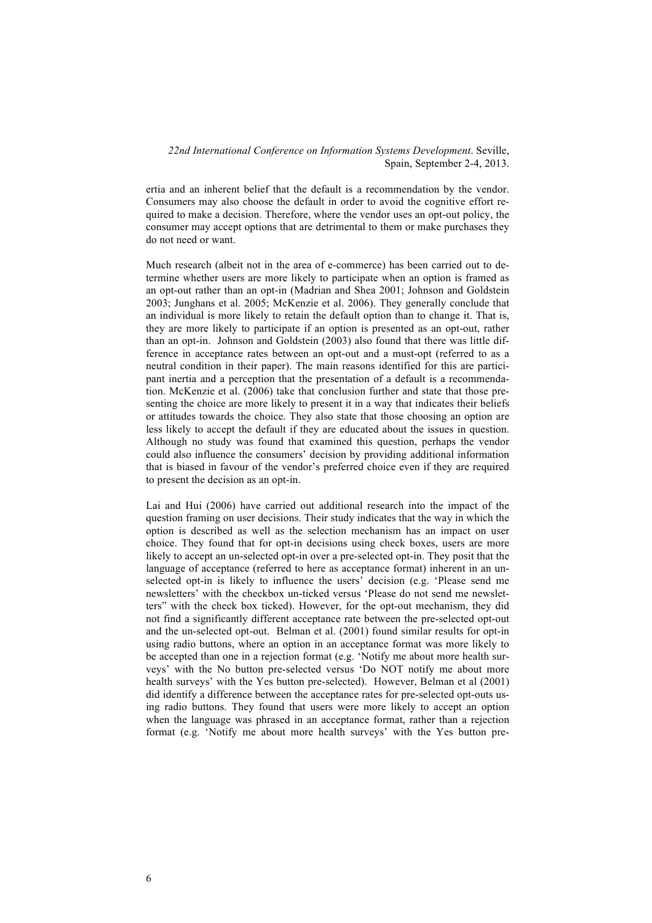ertia and an inherent belief that the default is a recommendation by the vendor. Consumers may also choose the default in order to avoid the cognitive effort required to make a decision. Therefore, where the vendor uses an opt-out policy, the consumer may accept options that are detrimental to them or make purchases they do not need or want.

Much research (albeit not in the area of e-commerce) has been carried out to determine whether users are more likely to participate when an option is framed as an opt-out rather than an opt-in (Madrian and Shea 2001; Johnson and Goldstein 2003; Junghans et al. 2005; McKenzie et al. 2006). They generally conclude that an individual is more likely to retain the default option than to change it. That is, they are more likely to participate if an option is presented as an opt-out, rather than an opt-in. Johnson and Goldstein (2003) also found that there was little difference in acceptance rates between an opt-out and a must-opt (referred to as a neutral condition in their paper). The main reasons identified for this are participant inertia and a perception that the presentation of a default is a recommendation. McKenzie et al. (2006) take that conclusion further and state that those presenting the choice are more likely to present it in a way that indicates their beliefs or attitudes towards the choice. They also state that those choosing an option are less likely to accept the default if they are educated about the issues in question. Although no study was found that examined this question, perhaps the vendor could also influence the consumers' decision by providing additional information that is biased in favour of the vendor's preferred choice even if they are required to present the decision as an opt-in.

Lai and Hui (2006) have carried out additional research into the impact of the question framing on user decisions. Their study indicates that the way in which the option is described as well as the selection mechanism has an impact on user choice. They found that for opt-in decisions using check boxes, users are more likely to accept an un-selected opt-in over a pre-selected opt-in. They posit that the language of acceptance (referred to here as acceptance format) inherent in an unselected opt-in is likely to influence the users' decision (e.g. 'Please send me newsletters' with the checkbox un-ticked versus 'Please do not send me newsletters" with the check box ticked). However, for the opt-out mechanism, they did not find a significantly different acceptance rate between the pre-selected opt-out and the un-selected opt-out. Belman et al. (2001) found similar results for opt-in using radio buttons, where an option in an acceptance format was more likely to be accepted than one in a rejection format (e.g. 'Notify me about more health surveys' with the No button pre-selected versus 'Do NOT notify me about more health surveys' with the Yes button pre-selected). However, Belman et al (2001) did identify a difference between the acceptance rates for pre-selected opt-outs using radio buttons. They found that users were more likely to accept an option when the language was phrased in an acceptance format, rather than a rejection format (e.g. 'Notify me about more health surveys' with the Yes button pre-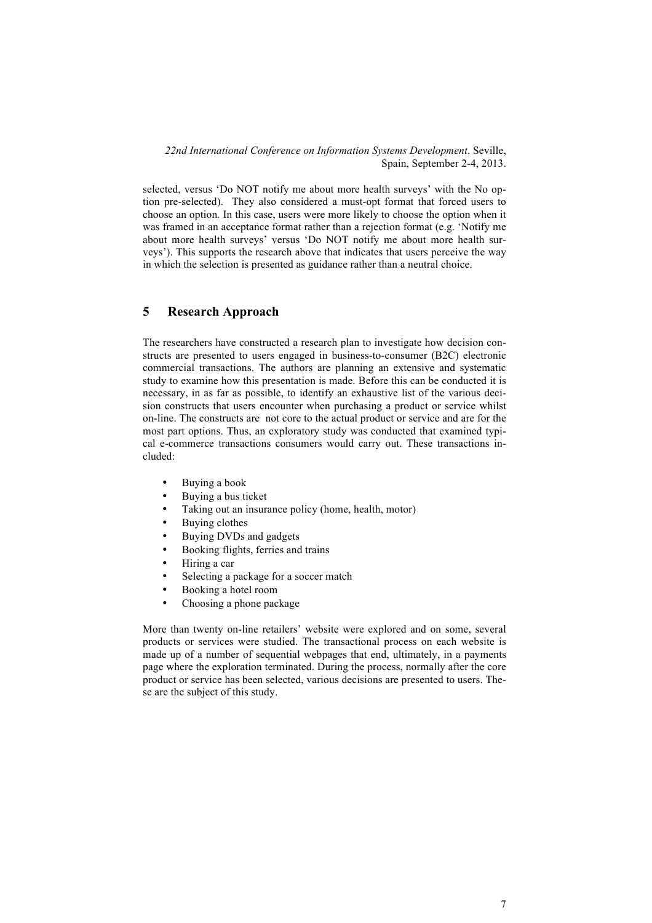selected, versus 'Do NOT notify me about more health surveys' with the No option pre-selected). They also considered a must-opt format that forced users to choose an option. In this case, users were more likely to choose the option when it was framed in an acceptance format rather than a rejection format (e.g. 'Notify me about more health surveys' versus 'Do NOT notify me about more health surveys'). This supports the research above that indicates that users perceive the way in which the selection is presented as guidance rather than a neutral choice.

## **5 Research Approach**

The researchers have constructed a research plan to investigate how decision constructs are presented to users engaged in business-to-consumer (B2C) electronic commercial transactions. The authors are planning an extensive and systematic study to examine how this presentation is made. Before this can be conducted it is necessary, in as far as possible, to identify an exhaustive list of the various decision constructs that users encounter when purchasing a product or service whilst on-line. The constructs are not core to the actual product or service and are for the most part options. Thus, an exploratory study was conducted that examined typical e-commerce transactions consumers would carry out. These transactions included:

- Buying a book
- Buying a bus ticket
- Taking out an insurance policy (home, health, motor)
- Buving clothes
- Buying DVDs and gadgets
- Booking flights, ferries and trains
- Hiring a car
- Selecting a package for a soccer match
- Booking a hotel room
- Choosing a phone package

More than twenty on-line retailers' website were explored and on some, several products or services were studied. The transactional process on each website is made up of a number of sequential webpages that end, ultimately, in a payments page where the exploration terminated. During the process, normally after the core product or service has been selected, various decisions are presented to users. These are the subject of this study.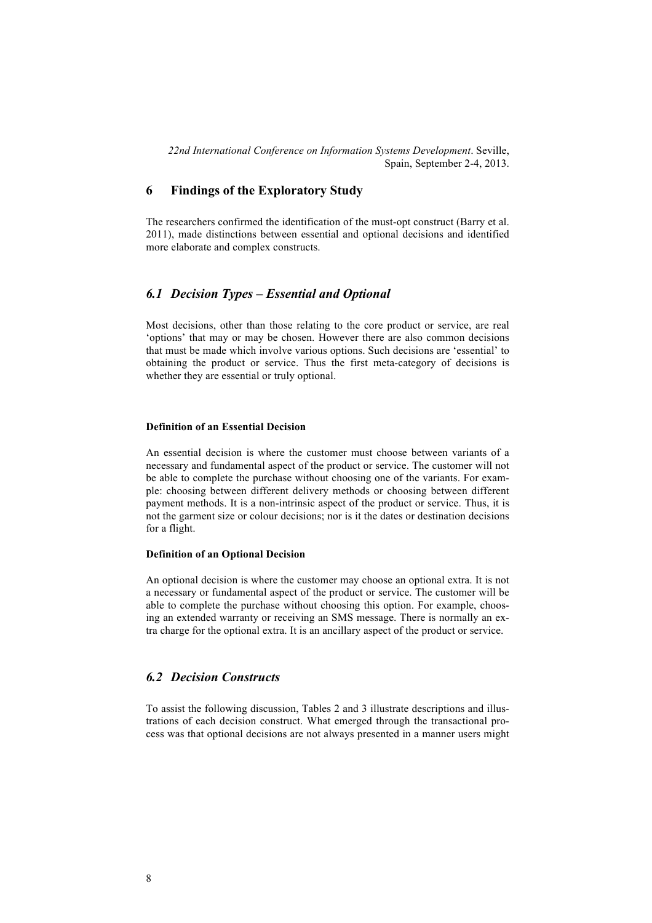# **6 Findings of the Exploratory Study**

The researchers confirmed the identification of the must-opt construct (Barry et al. 2011), made distinctions between essential and optional decisions and identified more elaborate and complex constructs.

## *6.1 Decision Types – Essential and Optional*

Most decisions, other than those relating to the core product or service, are real 'options' that may or may be chosen. However there are also common decisions that must be made which involve various options. Such decisions are 'essential' to obtaining the product or service. Thus the first meta-category of decisions is whether they are essential or truly optional.

#### **Definition of an Essential Decision**

An essential decision is where the customer must choose between variants of a necessary and fundamental aspect of the product or service. The customer will not be able to complete the purchase without choosing one of the variants. For example: choosing between different delivery methods or choosing between different payment methods. It is a non-intrinsic aspect of the product or service. Thus, it is not the garment size or colour decisions; nor is it the dates or destination decisions for a flight.

#### **Definition of an Optional Decision**

An optional decision is where the customer may choose an optional extra. It is not a necessary or fundamental aspect of the product or service. The customer will be able to complete the purchase without choosing this option. For example, choosing an extended warranty or receiving an SMS message. There is normally an extra charge for the optional extra. It is an ancillary aspect of the product or service.

### *6.2 Decision Constructs*

To assist the following discussion, Tables 2 and 3 illustrate descriptions and illustrations of each decision construct. What emerged through the transactional process was that optional decisions are not always presented in a manner users might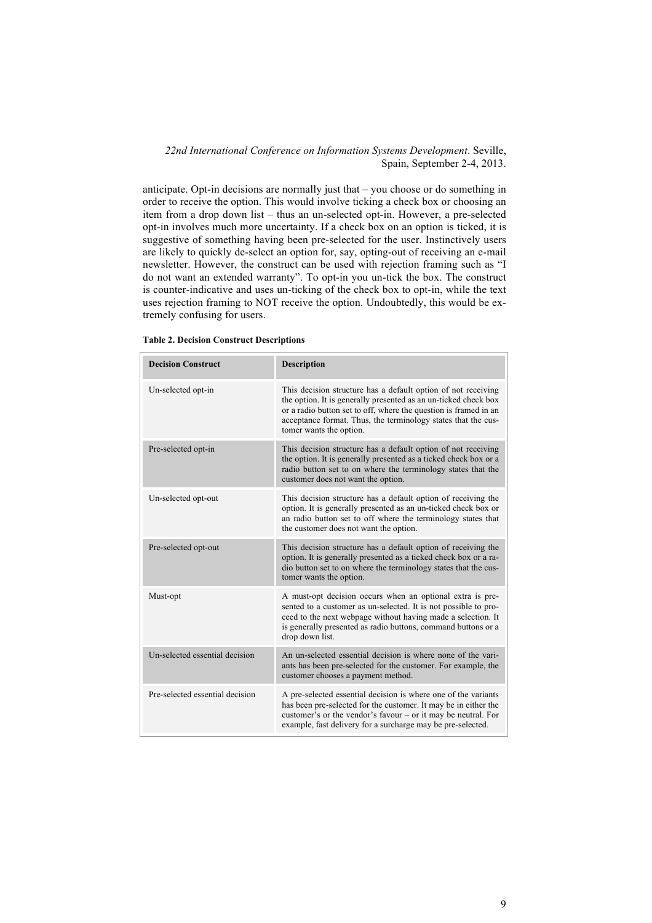anticipate. Opt-in decisions are normally just that – you choose or do something in order to receive the option. This would involve ticking a check box or choosing an item from a drop down list – thus an un-selected opt-in. However, a pre-selected opt-in involves much more uncertainty. If a check box on an option is ticked, it is suggestive of something having been pre-selected for the user. Instinctively users are likely to quickly de-select an option for, say, opting-out of receiving an e-mail newsletter. However, the construct can be used with rejection framing such as "I do not want an extended warranty". To opt-in you un-tick the box. The construct is counter-indicative and uses un-ticking of the check box to opt-in, while the text uses rejection framing to NOT receive the option. Undoubtedly, this would be extremely confusing for users.

| <b>Decision Construct</b>       | <b>Description</b>                                                                                                                                                                                                                                                                               |  |
|---------------------------------|--------------------------------------------------------------------------------------------------------------------------------------------------------------------------------------------------------------------------------------------------------------------------------------------------|--|
| Un-selected opt-in              | This decision structure has a default option of not receiving<br>the option. It is generally presented as an un-ticked check box<br>or a radio button set to off, where the question is framed in an<br>acceptance format. Thus, the terminology states that the cus-<br>tomer wants the option. |  |
| Pre-selected opt-in             | This decision structure has a default option of not receiving<br>the option. It is generally presented as a ticked check box or a<br>radio button set to on where the terminology states that the<br>customer does not want the option.                                                          |  |
| Un-selected opt-out             | This decision structure has a default option of receiving the<br>option. It is generally presented as an un-ticked check box or<br>an radio button set to off where the terminology states that<br>the customer does not want the option.                                                        |  |
| Pre-selected opt-out            | This decision structure has a default option of receiving the<br>option. It is generally presented as a ticked check box or a ra-<br>dio button set to on where the terminology states that the cus-<br>tomer wants the option.                                                                  |  |
| Must-opt                        | A must-opt decision occurs when an optional extra is pre-<br>sented to a customer as un-selected. It is not possible to pro-<br>ceed to the next webpage without having made a selection. It<br>is generally presented as radio buttons, command buttons or a<br>drop down list.                 |  |
| Un-selected essential decision  | An un-selected essential decision is where none of the vari-<br>ants has been pre-selected for the customer. For example, the<br>customer chooses a payment method.                                                                                                                              |  |
| Pre-selected essential decision | A pre-selected essential decision is where one of the variants<br>has been pre-selected for the customer. It may be in either the<br>customer's or the vendor's favour $-$ or it may be neutral. For<br>example, fast delivery for a surcharge may be pre-selected.                              |  |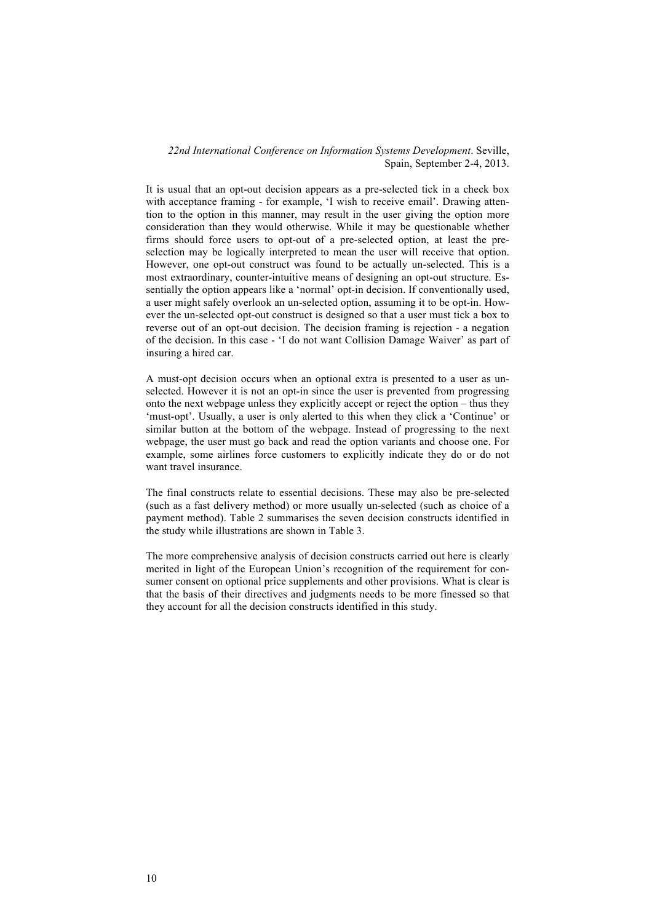It is usual that an opt-out decision appears as a pre-selected tick in a check box with acceptance framing - for example, 'I wish to receive email'. Drawing attention to the option in this manner, may result in the user giving the option more consideration than they would otherwise. While it may be questionable whether firms should force users to opt-out of a pre-selected option, at least the preselection may be logically interpreted to mean the user will receive that option. However, one opt-out construct was found to be actually un-selected. This is a most extraordinary, counter-intuitive means of designing an opt-out structure. Essentially the option appears like a 'normal' opt-in decision. If conventionally used, a user might safely overlook an un-selected option, assuming it to be opt-in. However the un-selected opt-out construct is designed so that a user must tick a box to reverse out of an opt-out decision. The decision framing is rejection - a negation of the decision. In this case - 'I do not want Collision Damage Waiver' as part of insuring a hired car.

A must-opt decision occurs when an optional extra is presented to a user as unselected. However it is not an opt-in since the user is prevented from progressing onto the next webpage unless they explicitly accept or reject the option – thus they 'must-opt'. Usually, a user is only alerted to this when they click a 'Continue' or similar button at the bottom of the webpage. Instead of progressing to the next webpage, the user must go back and read the option variants and choose one. For example, some airlines force customers to explicitly indicate they do or do not want travel insurance.

The final constructs relate to essential decisions. These may also be pre-selected (such as a fast delivery method) or more usually un-selected (such as choice of a payment method). Table 2 summarises the seven decision constructs identified in the study while illustrations are shown in Table 3.

The more comprehensive analysis of decision constructs carried out here is clearly merited in light of the European Union's recognition of the requirement for consumer consent on optional price supplements and other provisions. What is clear is that the basis of their directives and judgments needs to be more finessed so that they account for all the decision constructs identified in this study.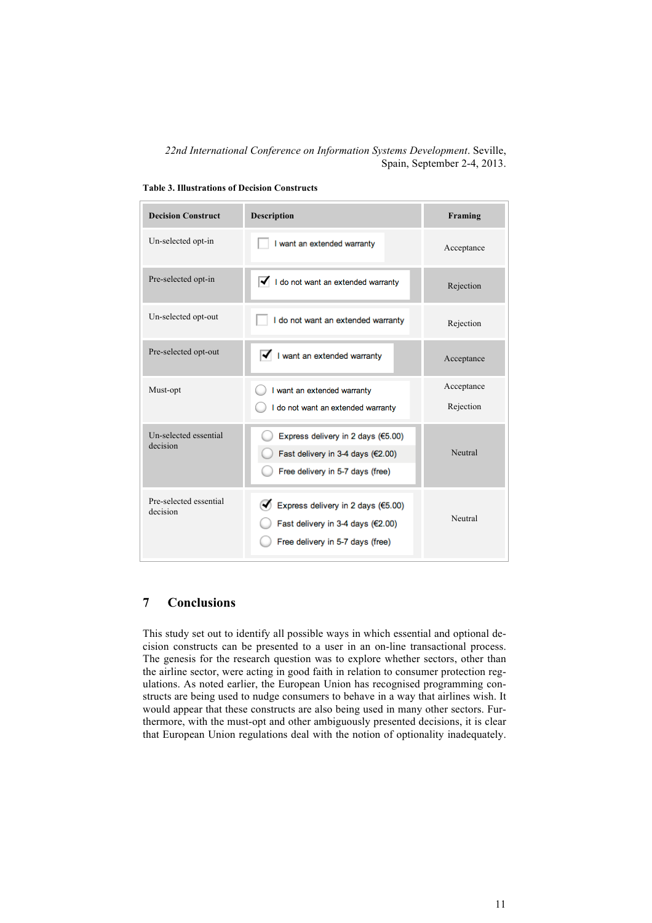| <b>Decision Construct</b>          | <b>Description</b>                      | Framing    |
|------------------------------------|-----------------------------------------|------------|
| Un-selected opt-in                 | I want an extended warranty             | Acceptance |
| Pre-selected opt-in                | I do not want an extended warranty<br>✔ | Rejection  |
| Un-selected opt-out                | I do not want an extended warranty      | Rejection  |
| Pre-selected opt-out               | I want an extended warranty<br>✔        | Acceptance |
| Must-opt                           | I want an extended warranty             | Acceptance |
|                                    | I do not want an extended warranty      | Rejection  |
| Un-selected essential<br>decision  | Express delivery in 2 days $(65.00)$    |            |
|                                    | Fast delivery in 3-4 days (€2.00)       | Neutral    |
|                                    | Free delivery in 5-7 days (free)        |            |
| Pre-selected essential<br>decision | Express delivery in 2 days (€5.00)      |            |
|                                    | Fast delivery in 3-4 days (€2.00)       | Neutral    |
|                                    | Free delivery in 5-7 days (free)        |            |

# **7 Conclusions**

This study set out to identify all possible ways in which essential and optional decision constructs can be presented to a user in an on-line transactional process. The genesis for the research question was to explore whether sectors, other than the airline sector, were acting in good faith in relation to consumer protection regulations. As noted earlier, the European Union has recognised programming constructs are being used to nudge consumers to behave in a way that airlines wish. It would appear that these constructs are also being used in many other sectors. Furthermore, with the must-opt and other ambiguously presented decisions, it is clear that European Union regulations deal with the notion of optionality inadequately.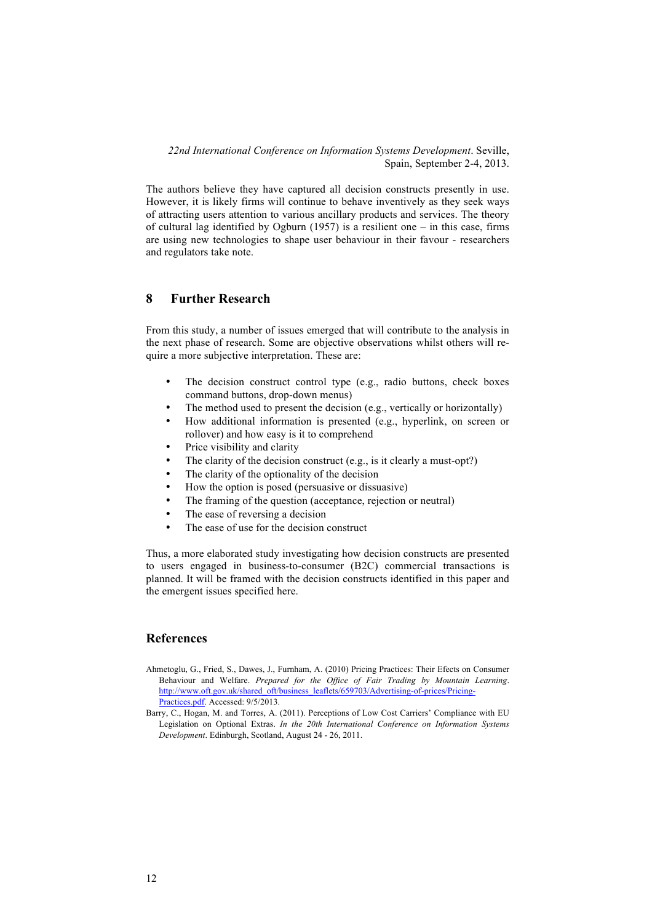The authors believe they have captured all decision constructs presently in use. However, it is likely firms will continue to behave inventively as they seek ways of attracting users attention to various ancillary products and services. The theory of cultural lag identified by Ogburn (1957) is a resilient one – in this case, firms are using new technologies to shape user behaviour in their favour - researchers and regulators take note.

### **8 Further Research**

From this study, a number of issues emerged that will contribute to the analysis in the next phase of research. Some are objective observations whilst others will require a more subjective interpretation. These are:

- The decision construct control type (e.g., radio buttons, check boxes command buttons, drop-down menus)
- The method used to present the decision (e.g., vertically or horizontally)
- How additional information is presented (e.g., hyperlink, on screen or rollover) and how easy is it to comprehend
- Price visibility and clarity
- The clarity of the decision construct (e.g., is it clearly a must-opt?)
- The clarity of the optionality of the decision
- How the option is posed (persuasive or dissuasive)
- The framing of the question (acceptance, rejection or neutral)
- The ease of reversing a decision
- The ease of use for the decision construct

Thus, a more elaborated study investigating how decision constructs are presented to users engaged in business-to-consumer (B2C) commercial transactions is planned. It will be framed with the decision constructs identified in this paper and the emergent issues specified here.

### **References**

- Ahmetoglu, G., Fried, S., Dawes, J., Furnham, A. (2010) Pricing Practices: Their Efects on Consumer Behaviour and Welfare. *Prepared for the Office of Fair Trading by Mountain Learning*. http://www.oft.gov.uk/shared\_oft/business\_leaflets/659703/Advertising-of-prices/Pricing-Practices.pdf. Accessed: 9/5/2013.
- Barry, C., Hogan, M. and Torres, A. (2011). Perceptions of Low Cost Carriers' Compliance with EU Legislation on Optional Extras. *In the 20th International Conference on Information Systems Development*. Edinburgh, Scotland, August 24 - 26, 2011.